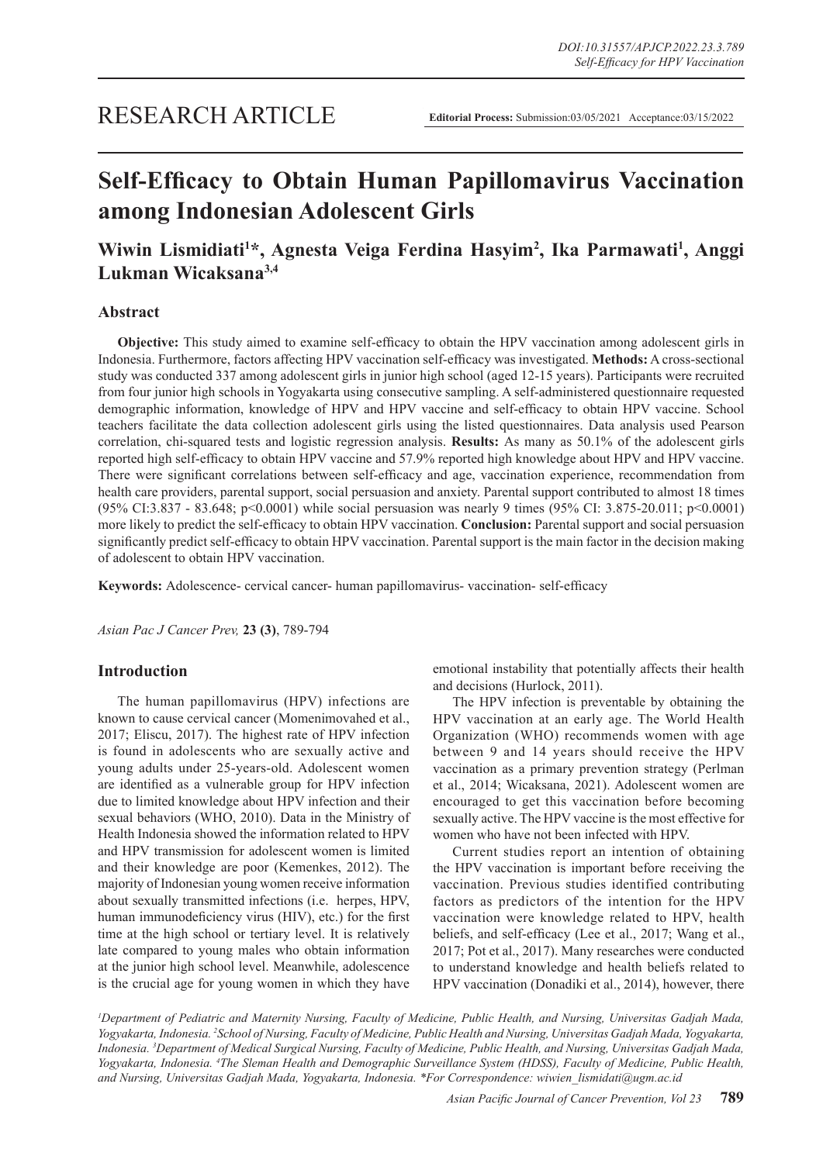# **Self-Efficacy to Obtain Human Papillomavirus Vaccination among Indonesian Adolescent Girls**

## **Wiwin Lismidiati<sup>1</sup> \*, Agnesta Veiga Ferdina Hasyim<sup>2</sup> , Ika Parmawati<sup>1</sup> , Anggi Lukman Wicaksana3,4**

## **Abstract**

**Objective:** This study aimed to examine self-efficacy to obtain the HPV vaccination among adolescent girls in Indonesia. Furthermore, factors affecting HPV vaccination self-efficacy was investigated. **Methods:** A cross-sectional study was conducted 337 among adolescent girls in junior high school (aged 12-15 years). Participants were recruited from four junior high schools in Yogyakarta using consecutive sampling. A self-administered questionnaire requested demographic information, knowledge of HPV and HPV vaccine and self-efficacy to obtain HPV vaccine. School teachers facilitate the data collection adolescent girls using the listed questionnaires. Data analysis used Pearson correlation, chi-squared tests and logistic regression analysis. **Results:** As many as 50.1% of the adolescent girls reported high self-efficacy to obtain HPV vaccine and 57.9% reported high knowledge about HPV and HPV vaccine. There were significant correlations between self-efficacy and age, vaccination experience, recommendation from health care providers, parental support, social persuasion and anxiety. Parental support contributed to almost 18 times (95% CI:3.837 - 83.648; p<0.0001) while social persuasion was nearly 9 times (95% CI: 3.875-20.011; p<0.0001) more likely to predict the self-efficacy to obtain HPV vaccination. **Conclusion:** Parental support and social persuasion significantly predict self-efficacy to obtain HPV vaccination. Parental support is the main factor in the decision making of adolescent to obtain HPV vaccination.

**Keywords:** Adolescence- cervical cancer- human papillomavirus- vaccination- self-efficacy

*Asian Pac J Cancer Prev,* **23 (3)**, 789-794

## **Introduction**

The human papillomavirus (HPV) infections are known to cause cervical cancer (Momenimovahed et al., 2017; Eliscu, 2017). The highest rate of HPV infection is found in adolescents who are sexually active and young adults under 25-years-old. Adolescent women are identified as a vulnerable group for HPV infection due to limited knowledge about HPV infection and their sexual behaviors (WHO, 2010). Data in the Ministry of Health Indonesia showed the information related to HPV and HPV transmission for adolescent women is limited and their knowledge are poor (Kemenkes, 2012). The majority of Indonesian young women receive information about sexually transmitted infections (i.e. herpes, HPV, human immunodeficiency virus (HIV), etc.) for the first time at the high school or tertiary level. It is relatively late compared to young males who obtain information at the junior high school level. Meanwhile, adolescence is the crucial age for young women in which they have emotional instability that potentially affects their health and decisions (Hurlock, 2011).

The HPV infection is preventable by obtaining the HPV vaccination at an early age. The World Health Organization (WHO) recommends women with age between 9 and 14 years should receive the HPV vaccination as a primary prevention strategy (Perlman et al., 2014; Wicaksana, 2021). Adolescent women are encouraged to get this vaccination before becoming sexually active. The HPV vaccine is the most effective for women who have not been infected with HPV.

Current studies report an intention of obtaining the HPV vaccination is important before receiving the vaccination. Previous studies identified contributing factors as predictors of the intention for the HPV vaccination were knowledge related to HPV, health beliefs, and self-efficacy (Lee et al., 2017; Wang et al., 2017; Pot et al., 2017). Many researches were conducted to understand knowledge and health beliefs related to HPV vaccination (Donadiki et al., 2014), however, there

*1 Department of Pediatric and Maternity Nursing, Faculty of Medicine, Public Health, and Nursing, Universitas Gadjah Mada, Yogyakarta, Indonesia. 2 School of Nursing, Faculty of Medicine, Public Health and Nursing, Universitas Gadjah Mada, Yogyakarta, Indonesia. 3 Department of Medical Surgical Nursing, Faculty of Medicine, Public Health, and Nursing, Universitas Gadjah Mada, Yogyakarta, Indonesia. 4 The Sleman Health and Demographic Surveillance System (HDSS), Faculty of Medicine, Public Health, and Nursing, Universitas Gadjah Mada, Yogyakarta, Indonesia. \*For Correspondence: wiwien\_lismidati@ugm.ac.id*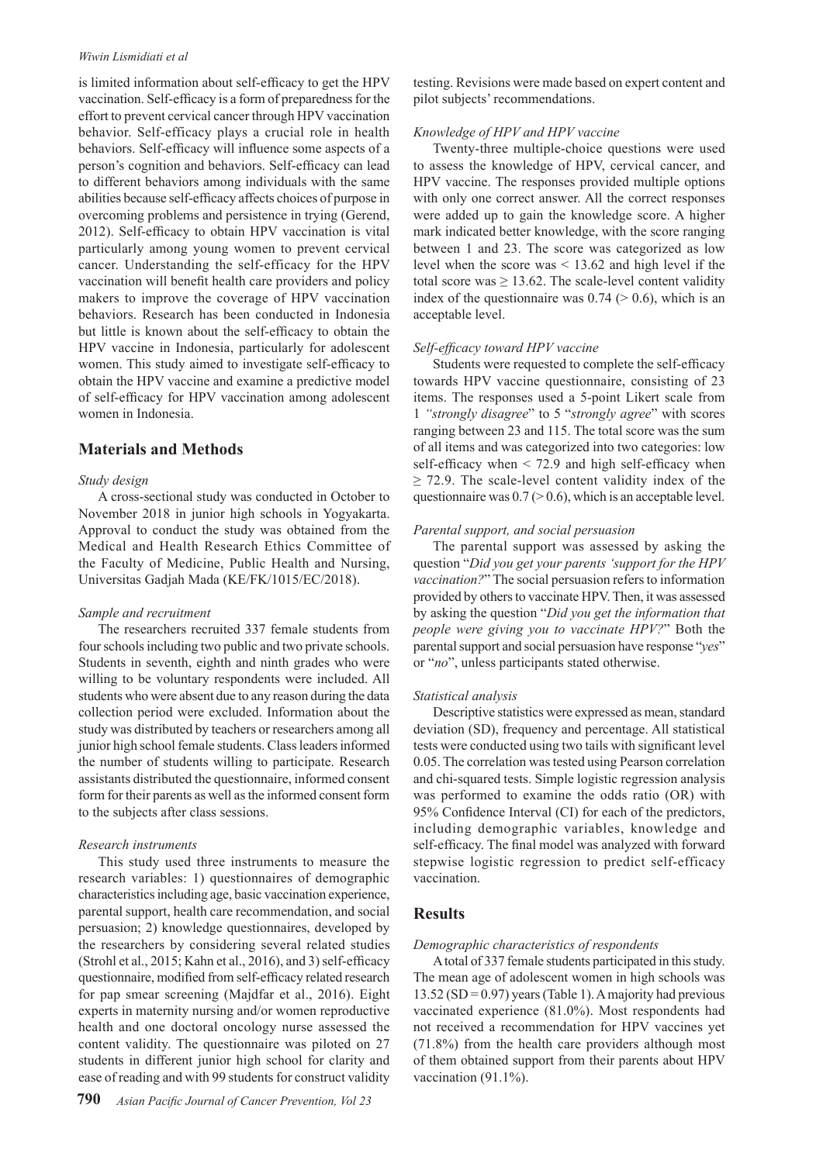#### *Wiwin Lismidiati et al*

is limited information about self-efficacy to get the HPV vaccination. Self-efficacy is a form of preparedness for the effort to prevent cervical cancer through HPV vaccination behavior. Self-efficacy plays a crucial role in health behaviors. Self-efficacy will influence some aspects of a person's cognition and behaviors. Self-efficacy can lead to different behaviors among individuals with the same abilities because self-efficacy affects choices of purpose in overcoming problems and persistence in trying (Gerend, 2012). Self-efficacy to obtain HPV vaccination is vital particularly among young women to prevent cervical cancer. Understanding the self-efficacy for the HPV vaccination will benefit health care providers and policy makers to improve the coverage of HPV vaccination behaviors. Research has been conducted in Indonesia but little is known about the self-efficacy to obtain the HPV vaccine in Indonesia, particularly for adolescent women. This study aimed to investigate self-efficacy to obtain the HPV vaccine and examine a predictive model of self-efficacy for HPV vaccination among adolescent women in Indonesia.

## **Materials and Methods**

#### *Study design*

A cross-sectional study was conducted in October to November 2018 in junior high schools in Yogyakarta. Approval to conduct the study was obtained from the Medical and Health Research Ethics Committee of the Faculty of Medicine, Public Health and Nursing, Universitas Gadjah Mada (KE/FK/1015/EC/2018).

#### *Sample and recruitment*

The researchers recruited 337 female students from four schools including two public and two private schools. Students in seventh, eighth and ninth grades who were willing to be voluntary respondents were included. All students who were absent due to any reason during the data collection period were excluded. Information about the study was distributed by teachers or researchers among all junior high school female students. Class leaders informed the number of students willing to participate. Research assistants distributed the questionnaire, informed consent form for their parents as well as the informed consent form to the subjects after class sessions.

#### *Research instruments*

This study used three instruments to measure the research variables: 1) questionnaires of demographic characteristics including age, basic vaccination experience, parental support, health care recommendation, and social persuasion; 2) knowledge questionnaires, developed by the researchers by considering several related studies (Strohl et al., 2015; Kahn et al., 2016), and 3) self-efficacy questionnaire, modified from self-efficacy related research for pap smear screening (Majdfar et al., 2016). Eight experts in maternity nursing and/or women reproductive health and one doctoral oncology nurse assessed the content validity. The questionnaire was piloted on 27 students in different junior high school for clarity and ease of reading and with 99 students for construct validity

testing. Revisions were made based on expert content and pilot subjects' recommendations.

#### *Knowledge of HPV and HPV vaccine*

Twenty-three multiple-choice questions were used to assess the knowledge of HPV, cervical cancer, and HPV vaccine. The responses provided multiple options with only one correct answer. All the correct responses were added up to gain the knowledge score. A higher mark indicated better knowledge, with the score ranging between 1 and 23. The score was categorized as low level when the score was < 13.62 and high level if the total score was  $\geq 13.62$ . The scale-level content validity index of the questionnaire was  $0.74$  ( $> 0.6$ ), which is an acceptable level.

#### *Self-efficacy toward HPV vaccine*

Students were requested to complete the self-efficacy towards HPV vaccine questionnaire, consisting of 23 items. The responses used a 5-point Likert scale from 1 *"strongly disagree*" to 5 "*strongly agree*" with scores ranging between 23 and 115. The total score was the sum of all items and was categorized into two categories: low self-efficacy when  $\leq$  72.9 and high self-efficacy when  $\geq$  72.9. The scale-level content validity index of the questionnaire was  $0.7$  ( $> 0.6$ ), which is an acceptable level.

#### *Parental support, and social persuasion*

The parental support was assessed by asking the question "*Did you get your parents 'support for the HPV vaccination?*" The social persuasion refers to information provided by others to vaccinate HPV. Then, it was assessed by asking the question "*Did you get the information that people were giving you to vaccinate HPV?*" Both the parental support and social persuasion have response "*yes*" or "*no*", unless participants stated otherwise.

#### *Statistical analysis*

Descriptive statistics were expressed as mean, standard deviation (SD), frequency and percentage. All statistical tests were conducted using two tails with significant level 0.05. The correlation was tested using Pearson correlation and chi-squared tests. Simple logistic regression analysis was performed to examine the odds ratio (OR) with 95% Confidence Interval (CI) for each of the predictors, including demographic variables, knowledge and self-efficacy. The final model was analyzed with forward stepwise logistic regression to predict self-efficacy vaccination.

#### **Results**

#### *Demographic characteristics of respondents*

A total of 337 female students participated in this study. The mean age of adolescent women in high schools was  $13.52$  (SD = 0.97) years (Table 1). A majority had previous vaccinated experience (81.0%). Most respondents had not received a recommendation for HPV vaccines yet (71.8%) from the health care providers although most of them obtained support from their parents about HPV vaccination (91.1%).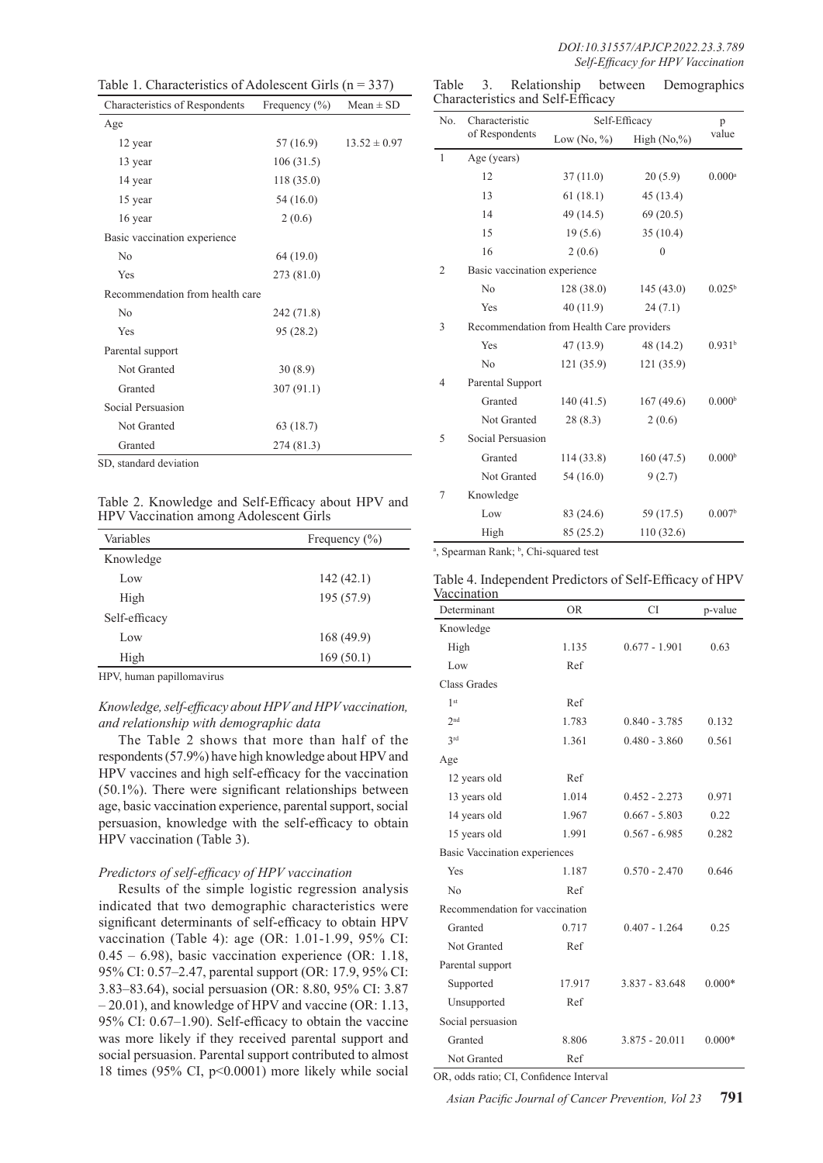| Table 1. Characteristics of Adolescent Girls ( $n = 337$ ) |                   |                  |  |
|------------------------------------------------------------|-------------------|------------------|--|
| Characteristics of Respondents                             | Frequency $(\% )$ | $Mean \pm SD$    |  |
| Age                                                        |                   |                  |  |
| 12 year                                                    | 57 (16.9)         | $13.52 \pm 0.97$ |  |
| 13 year                                                    | 106(31.5)         |                  |  |
| 14 year                                                    | 118 (35.0)        |                  |  |
| 15 year                                                    | 54(16.0)          |                  |  |
| 16 year                                                    | 2(0.6)            |                  |  |
| Basic vaccination experience                               |                   |                  |  |
| No                                                         | 64 (19.0)         |                  |  |
| Yes                                                        | 273 (81.0)        |                  |  |
| Recommendation from health care                            |                   |                  |  |
| No                                                         | 242 (71.8)        |                  |  |
| Yes                                                        | 95 (28.2)         |                  |  |
| Parental support                                           |                   |                  |  |
| Not Granted                                                | 30(8.9)           |                  |  |
| Granted                                                    | 307 (91.1)        |                  |  |
| Social Persuasion                                          |                   |                  |  |
| Not Granted                                                | 63 (18.7)         |                  |  |
| Granted                                                    | 274 (81.3)        |                  |  |
| SD, standard deviation                                     |                   |                  |  |

Table 2. Knowledge and Self-Efficacy about HPV and HPV Vaccination among Adolescent Girls

| Variables     | Frequency $(\% )$ |  |
|---------------|-------------------|--|
| Knowledge     |                   |  |
| Low           | 142(42.1)         |  |
| High          | 195 (57.9)        |  |
| Self-efficacy |                   |  |
| Low           | 168 (49.9)        |  |
| High          | 169(50.1)         |  |

HPV, human papillomavirus

*Knowledge, self-efficacy about HPV and HPV vaccination, and relationship with demographic data*

The Table 2 shows that more than half of the respondents (57.9%) have high knowledge about HPV and HPV vaccines and high self-efficacy for the vaccination (50.1%). There were significant relationships between age, basic vaccination experience, parental support, social persuasion, knowledge with the self-efficacy to obtain HPV vaccination (Table 3).

#### *Predictors of self-efficacy of HPV vaccination*

Results of the simple logistic regression analysis indicated that two demographic characteristics were significant determinants of self-efficacy to obtain HPV vaccination (Table 4): age (OR: 1.01-1.99, 95% CI: 0.45 – 6.98), basic vaccination experience (OR: 1.18, 95% CI: 0.57–2.47, parental support (OR: 17.9, 95% CI: 3.83–83.64), social persuasion (OR: 8.80, 95% CI: 3.87 – 20.01), and knowledge of HPV and vaccine (OR: 1.13, 95% CI: 0.67–1.90). Self-efficacy to obtain the vaccine was more likely if they received parental support and social persuasion. Parental support contributed to almost 18 times (95% CI, p<0.0001) more likely while social

| Table                             |  | Relationship | between | Demographics |
|-----------------------------------|--|--------------|---------|--------------|
| Characteristics and Self-Efficacy |  |              |         |              |

| No.            | Characteristic<br>of Respondents          | Self-Efficacy |               | p                    |
|----------------|-------------------------------------------|---------------|---------------|----------------------|
|                |                                           | Low $(No, %)$ | High $(No, %$ | value                |
| 1              | Age (years)                               |               |               |                      |
|                | 12                                        | 37(11.0)      | 20(5.9)       | $0.000$ <sup>a</sup> |
|                | 13                                        | 61(18.1)      | 45 (13.4)     |                      |
|                | 14                                        | 49(14.5)      | 69(20.5)      |                      |
|                | 15                                        | 19(5.6)       | 35(10.4)      |                      |
|                | 16                                        | 2(0.6)        | $\theta$      |                      |
| 2              | Basic vaccination experience              |               |               |                      |
|                | No                                        | 128(38.0)     | 145(43.0)     | $0.025^{\rm b}$      |
|                | Yes                                       | 40(11.9)      | 24(7.1)       |                      |
| 3              | Recommendation from Health Care providers |               |               |                      |
|                | Yes                                       | 47 (13.9)     | 48 (14.2)     | 0.931 <sup>b</sup>   |
|                | N <sub>0</sub>                            | 121(35.9)     | 121 (35.9)    |                      |
| $\overline{4}$ | Parental Support                          |               |               |                      |
|                | Granted                                   | 140(41.5)     | 167(49.6)     | 0.000 <sup>b</sup>   |
|                | Not Granted                               | 28(8.3)       | 2(0.6)        |                      |
| 5              | Social Persuasion                         |               |               |                      |
|                | Granted                                   | 114(33.8)     | 160(47.5)     | 0.000 <sup>b</sup>   |
|                | Not Granted                               | 54(16.0)      | 9(2.7)        |                      |
| 7              | Knowledge                                 |               |               |                      |
|                | Low                                       | 83 (24.6)     | 59 (17.5)     | 0.007 <sup>b</sup>   |
|                | High                                      | 85 (25.2)     | 110(32.6)     |                      |

<sup>a</sup>, Spearman Rank; <sup>b</sup>, Chi-squared test

|             | Table 4. Independent Predictors of Self-Efficacy of HPV |
|-------------|---------------------------------------------------------|
| Vaccination |                                                         |

| raccination<br>Determinant           | <b>OR</b> | CI               | p-value  |
|--------------------------------------|-----------|------------------|----------|
| Knowledge                            |           |                  |          |
| High                                 | 1.135     | $0.677 - 1.901$  | 0.63     |
| Low                                  | Ref       |                  |          |
| Class Grades                         |           |                  |          |
| 1 <sup>st</sup>                      | Ref       |                  |          |
| 2 <sub>nd</sub>                      | 1.783     | $0.840 - 3.785$  | 0.132    |
| 3rd                                  | 1.361     | $0.480 - 3.860$  | 0.561    |
| Age                                  |           |                  |          |
| 12 years old                         | Ref       |                  |          |
| 13 years old                         | 1.014     | $0.452 - 2.273$  | 0.971    |
| 14 years old                         | 1.967     | $0.667 - 5.803$  | 0.22     |
| 15 years old                         | 1.991     | $0.567 - 6.985$  | 0.282    |
| <b>Basic Vaccination experiences</b> |           |                  |          |
| Yes                                  | 1.187     | $0.570 - 2.470$  | 0.646    |
| No                                   | Ref       |                  |          |
| Recommendation for vaccination       |           |                  |          |
| Granted                              | 0.717     | $0.407 - 1.264$  | 0.25     |
| Not Granted                          | Ref       |                  |          |
| Parental support                     |           |                  |          |
| Supported                            | 17.917    | $3.837 - 83.648$ | $0.000*$ |
| Unsupported                          | Ref       |                  |          |
| Social persuasion                    |           |                  |          |
| Granted                              | 8.806     | $3.875 - 20.011$ | $0.000*$ |
| Not Granted                          | Ref       |                  |          |

OR, odds ratio; CI, Confidence Interval

*Asian Pacific Journal of Cancer Prevention, Vol 23* **791**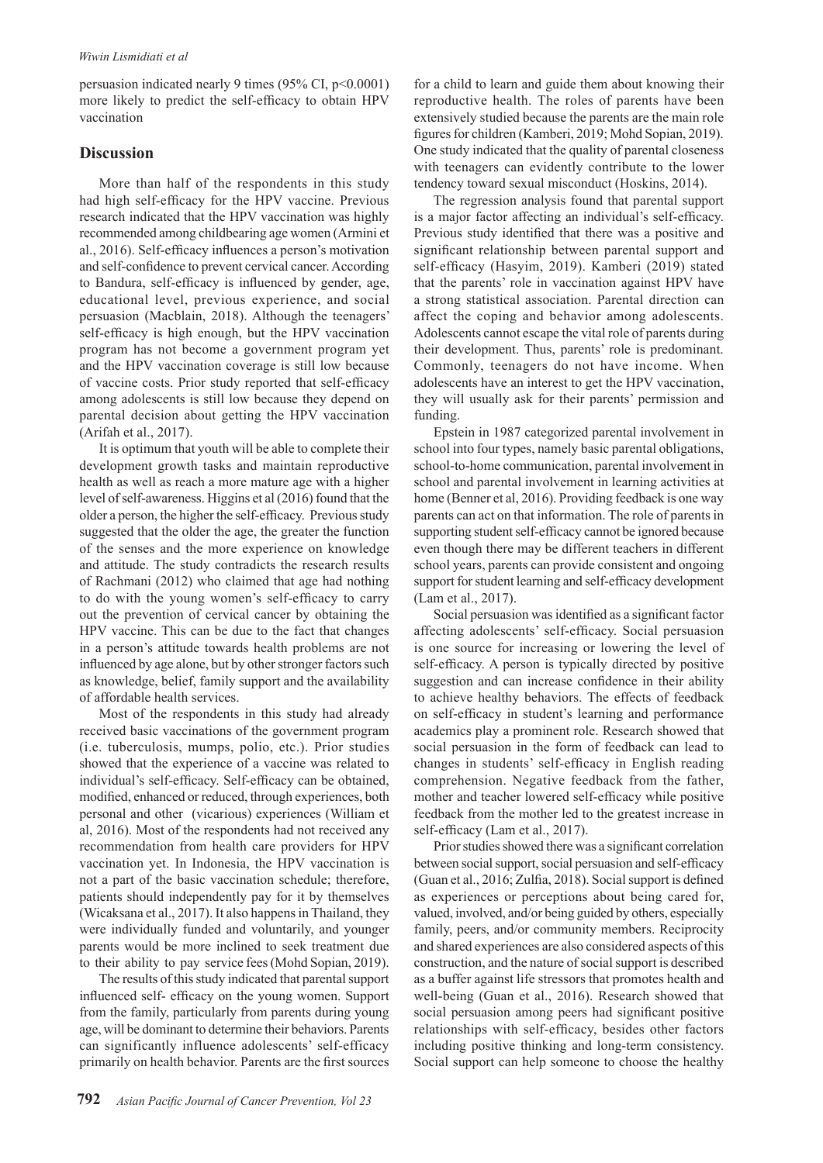persuasion indicated nearly 9 times (95% CI, p<0.0001) more likely to predict the self-efficacy to obtain HPV vaccination

## **Discussion**

More than half of the respondents in this study had high self-efficacy for the HPV vaccine. Previous research indicated that the HPV vaccination was highly recommended among childbearing age women (Armini et al., 2016). Self-efficacy influences a person's motivation and self-confidence to prevent cervical cancer. According to Bandura, self-efficacy is influenced by gender, age, educational level, previous experience, and social persuasion (Macblain, 2018). Although the teenagers' self-efficacy is high enough, but the HPV vaccination program has not become a government program yet and the HPV vaccination coverage is still low because of vaccine costs. Prior study reported that self-efficacy among adolescents is still low because they depend on parental decision about getting the HPV vaccination (Arifah et al., 2017).

It is optimum that youth will be able to complete their development growth tasks and maintain reproductive health as well as reach a more mature age with a higher level of self-awareness. Higgins et al (2016) found that the older a person, the higher the self-efficacy. Previous study suggested that the older the age, the greater the function of the senses and the more experience on knowledge and attitude. The study contradicts the research results of Rachmani (2012) who claimed that age had nothing to do with the young women's self-efficacy to carry out the prevention of cervical cancer by obtaining the HPV vaccine. This can be due to the fact that changes in a person's attitude towards health problems are not influenced by age alone, but by other stronger factors such as knowledge, belief, family support and the availability of affordable health services.

Most of the respondents in this study had already received basic vaccinations of the government program (i.e. tuberculosis, mumps, polio, etc.). Prior studies showed that the experience of a vaccine was related to individual's self-efficacy. Self-efficacy can be obtained, modified, enhanced or reduced, through experiences, both personal and other (vicarious) experiences (William et al, 2016). Most of the respondents had not received any recommendation from health care providers for HPV vaccination yet. In Indonesia, the HPV vaccination is not a part of the basic vaccination schedule; therefore, patients should independently pay for it by themselves (Wicaksana et al., 2017). It also happens in Thailand, they were individually funded and voluntarily, and younger parents would be more inclined to seek treatment due to their ability to pay service fees (Mohd Sopian, 2019).

The results of this study indicated that parental support influenced self- efficacy on the young women. Support from the family, particularly from parents during young age, will be dominant to determine their behaviors. Parents can significantly influence adolescents' self-efficacy primarily on health behavior. Parents are the first sources for a child to learn and guide them about knowing their reproductive health. The roles of parents have been extensively studied because the parents are the main role figures for children (Kamberi, 2019; Mohd Sopian, 2019). One study indicated that the quality of parental closeness with teenagers can evidently contribute to the lower tendency toward sexual misconduct (Hoskins, 2014).

The regression analysis found that parental support is a major factor affecting an individual's self-efficacy. Previous study identified that there was a positive and significant relationship between parental support and self-efficacy (Hasyim, 2019). Kamberi (2019) stated that the parents' role in vaccination against HPV have a strong statistical association. Parental direction can affect the coping and behavior among adolescents. Adolescents cannot escape the vital role of parents during their development. Thus, parents' role is predominant. Commonly, teenagers do not have income. When adolescents have an interest to get the HPV vaccination, they will usually ask for their parents' permission and funding.

Epstein in 1987 categorized parental involvement in school into four types, namely basic parental obligations, school-to-home communication, parental involvement in school and parental involvement in learning activities at home (Benner et al, 2016). Providing feedback is one way parents can act on that information. The role of parents in supporting student self-efficacy cannot be ignored because even though there may be different teachers in different school years, parents can provide consistent and ongoing support for student learning and self-efficacy development (Lam et al., 2017).

Social persuasion was identified as a significant factor affecting adolescents' self-efficacy. Social persuasion is one source for increasing or lowering the level of self-efficacy. A person is typically directed by positive suggestion and can increase confidence in their ability to achieve healthy behaviors. The effects of feedback on self-efficacy in student's learning and performance academics play a prominent role. Research showed that social persuasion in the form of feedback can lead to changes in students' self-efficacy in English reading comprehension. Negative feedback from the father, mother and teacher lowered self-efficacy while positive feedback from the mother led to the greatest increase in self-efficacy (Lam et al., 2017).

Prior studies showed there was a significant correlation between social support, social persuasion and self-efficacy (Guan et al., 2016; Zulfia, 2018). Social support is defined as experiences or perceptions about being cared for, valued, involved, and/or being guided by others, especially family, peers, and/or community members. Reciprocity and shared experiences are also considered aspects of this construction, and the nature of social support is described as a buffer against life stressors that promotes health and well-being (Guan et al., 2016). Research showed that social persuasion among peers had significant positive relationships with self-efficacy, besides other factors including positive thinking and long-term consistency. Social support can help someone to choose the healthy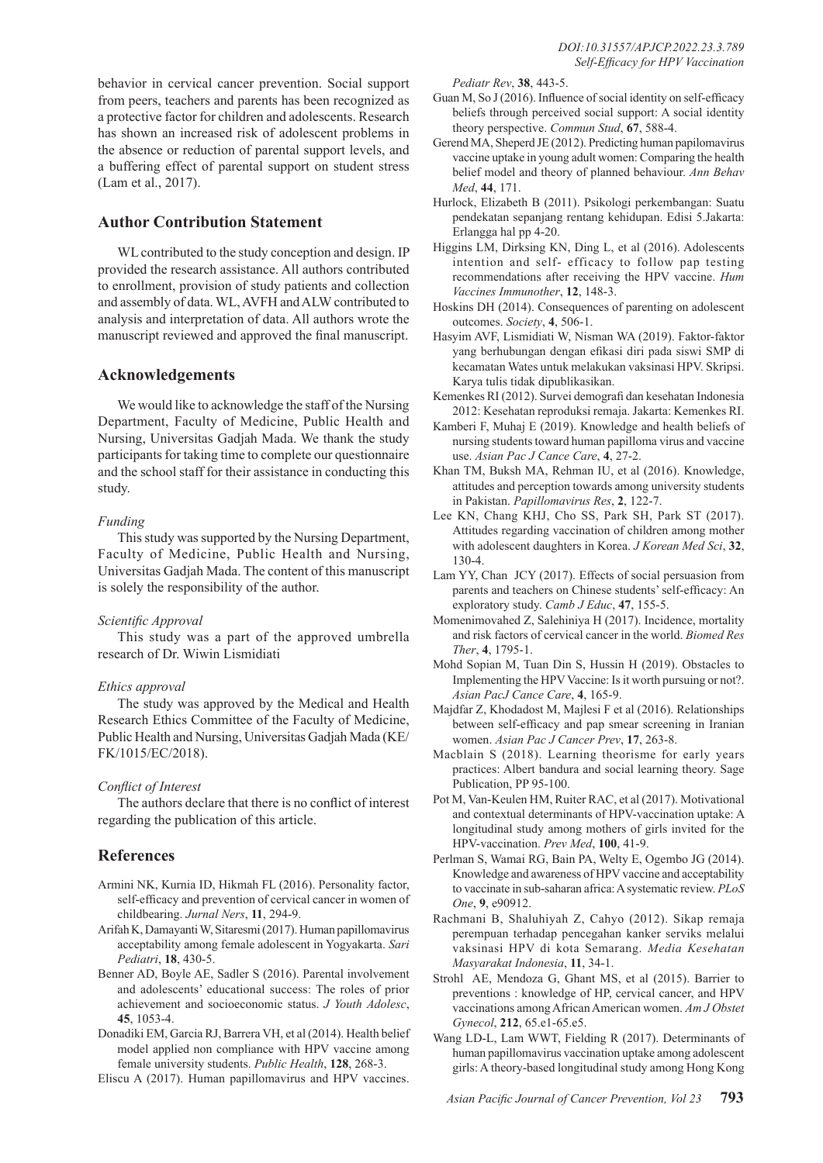behavior in cervical cancer prevention. Social support from peers, teachers and parents has been recognized as a protective factor for children and adolescents. Research has shown an increased risk of adolescent problems in the absence or reduction of parental support levels, and a buffering effect of parental support on student stress (Lam et al., 2017).

## **Author Contribution Statement**

W<sub>L</sub> contributed to the study conception and design. IP provided the research assistance. All authors contributed to enrollment, provision of study patients and collection and assembly of data. WL, AVFH and ALW contributed to analysis and interpretation of data. All authors wrote the manuscript reviewed and approved the final manuscript.

## **Acknowledgements**

We would like to acknowledge the staff of the Nursing Department, Faculty of Medicine, Public Health and Nursing, Universitas Gadjah Mada. We thank the study participants for taking time to complete our questionnaire and the school staff for their assistance in conducting this study.

## *Funding*

This study was supported by the Nursing Department, Faculty of Medicine, Public Health and Nursing, Universitas Gadjah Mada. The content of this manuscript is solely the responsibility of the author.

## *Scientific Approval*

This study was a part of the approved umbrella research of Dr. Wiwin Lismidiati

## *Ethics approval*

The study was approved by the Medical and Health Research Ethics Committee of the Faculty of Medicine, Public Health and Nursing, Universitas Gadjah Mada (KE/ FK/1015/EC/2018).

## *Conflict of Interest*

The authors declare that there is no conflict of interest regarding the publication of this article.

## **References**

- Armini NK, Kurnia ID, Hikmah FL (2016). Personality factor, self-efficacy and prevention of cervical cancer in women of childbearing. *Jurnal Ners*, **11**, 294-9.
- Arifah K, Damayanti W, Sitaresmi (2017). Human papillomavirus acceptability among female adolescent in Yogyakarta. *Sari Pediatri*, **18**, 430-5.
- Benner AD, Boyle AE, Sadler S (2016). Parental involvement and adolescents' educational success: The roles of prior achievement and socioeconomic status. *J Youth Adolesc*, **45**, 1053-4.
- Donadiki EM, Garcia RJ, Barrera VH, et al (2014). Health belief model applied non compliance with HPV vaccine among female university students. *Public Health*, **128**, 268-3.
- Eliscu A (2017). Human papillomavirus and HPV vaccines.

*Pediatr Rev*, **38**, 443-5.

- Guan M, So J (2016). Influence of social identity on self-efficacy beliefs through perceived social support: A social identity theory perspective. *Commun Stud*, **67**, 588-4.
- Gerend MA, Sheperd JE (2012). Predicting human papilomavirus vaccine uptake in young adult women: Comparing the health belief model and theory of planned behaviour. *Ann Behav Med*, **44**, 171.
- Hurlock, Elizabeth B (2011). Psikologi perkembangan: Suatu pendekatan sepanjang rentang kehidupan. Edisi 5.Jakarta: Erlangga hal pp 4-20.
- Higgins LM, Dirksing KN, Ding L, et al (2016). Adolescents intention and self- efficacy to follow pap testing recommendations after receiving the HPV vaccine. *Hum Vaccines Immunother*, **12**, 148-3.
- Hoskins DH (2014). Consequences of parenting on adolescent outcomes. *Society*, **4**, 506-1.
- Hasyim AVF, Lismidiati W, Nisman WA (2019). Faktor-faktor yang berhubungan dengan efikasi diri pada siswi SMP di kecamatan Wates untuk melakukan vaksinasi HPV. Skripsi. Karya tulis tidak dipublikasikan.
- Kemenkes RI (2012). Survei demografi dan kesehatan Indonesia 2012: Kesehatan reproduksi remaja. Jakarta: Kemenkes RI.
- Kamberi F, Muhaj E (2019). Knowledge and health beliefs of nursing students toward human papilloma virus and vaccine use. *Asian Pac J Cance Care*, **4**, 27-2.
- Khan TM, Buksh MA, Rehman IU, et al (2016). Knowledge, attitudes and perception towards among university students in Pakistan. *Papillomavirus Res*, **2**, 122-7.
- Lee KN, Chang KHJ, Cho SS, Park SH, Park ST (2017). Attitudes regarding vaccination of children among mother with adolescent daughters in Korea. *J Korean Med Sci*, **32**, 130-4.
- Lam YY, Chan JCY (2017). Effects of social persuasion from parents and teachers on Chinese students' self-efficacy: An exploratory study. *Camb J Educ*, **47**, 155-5.
- Momenimovahed Z, Salehiniya H (2017). Incidence, mortality and risk factors of cervical cancer in the world. *Biomed Res Ther*, **4**, 1795-1.
- Mohd Sopian M, Tuan Din S, Hussin H (2019). Obstacles to Implementing the HPV Vaccine: Is it worth pursuing or not?. *Asian PacJ Cance Care*, **4**, 165-9.
- Majdfar Z, Khodadost M, Majlesi F et al (2016). Relationships between self-efficacy and pap smear screening in Iranian women. *Asian Pac J Cancer Prev*, **17**, 263-8.
- Macblain S (2018). Learning theorisme for early years practices: Albert bandura and social learning theory. Sage Publication, PP 95-100.
- Pot M, Van-Keulen HM, Ruiter RAC, et al (2017). Motivational and contextual determinants of HPV-vaccination uptake: A longitudinal study among mothers of girls invited for the HPV-vaccination. *Prev Med*, **100**, 41-9.
- Perlman S, Wamai RG, Bain PA, Welty E, Ogembo JG (2014). Knowledge and awareness of HPV vaccine and acceptability to vaccinate in sub-saharan africa: A systematic review. *PLoS One*, **9**, e90912.
- Rachmani B, Shaluhiyah Z, Cahyo (2012). Sikap remaja perempuan terhadap pencegahan kanker serviks melalui vaksinasi HPV di kota Semarang. *Media Kesehatan Masyarakat Indonesia*, **11**, 34-1.
- Strohl AE, Mendoza G, Ghant MS, et al (2015). Barrier to preventions : knowledge of HP, cervical cancer, and HPV vaccinations among African American women. *Am J Obstet Gynecol*, **212**, 65.e1-65.e5.
- Wang LD-L, Lam WWT, Fielding R (2017). Determinants of human papillomavirus vaccination uptake among adolescent girls: A theory-based longitudinal study among Hong Kong